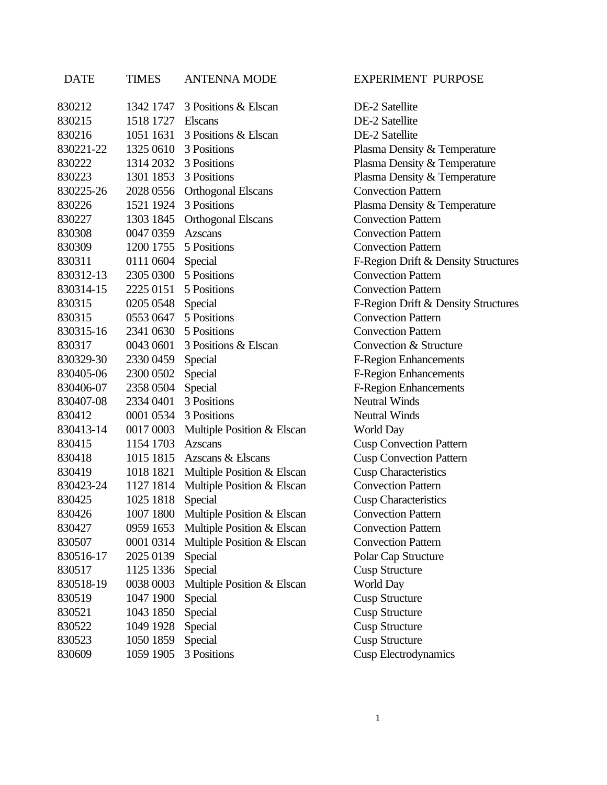| <b>DATE</b> | <b>TIMES</b>          | <b>ANTENNA MODE</b>                  | <b>EXPERIMENT PURPOSE</b>           |
|-------------|-----------------------|--------------------------------------|-------------------------------------|
| 830212      | 1342 1747             | 3 Positions & Elscan                 | DE-2 Satellite                      |
| 830215      | 1518 1727             | <b>Elscans</b>                       | DE-2 Satellite                      |
| 830216      | 1051 1631             | 3 Positions & Elscan                 | DE-2 Satellite                      |
| 830221-22   |                       | 1325 0610 3 Positions                | Plasma Density & Temperature        |
| 830222      | 1314 2032             | 3 Positions                          | Plasma Density & Temperature        |
| 830223      | 1301 1853             | 3 Positions                          | Plasma Density & Temperature        |
| 830225-26   | 2028 0556             | <b>Orthogonal Elscans</b>            | <b>Convection Pattern</b>           |
| 830226      | 1521 1924             | 3 Positions                          | Plasma Density & Temperature        |
| 830227      | 1303 1845             | <b>Orthogonal Elscans</b>            | <b>Convection Pattern</b>           |
| 830308      | 0047 0359             | <b>Azscans</b>                       | <b>Convection Pattern</b>           |
| 830309      | 1200 1755             | 5 Positions                          | <b>Convection Pattern</b>           |
| 830311      | 0111 0604             | Special                              | F-Region Drift & Density Structures |
| 830312-13   | 2305 0300             | 5 Positions                          | <b>Convection Pattern</b>           |
| 830314-15   |                       | 2225 0151 5 Positions                | <b>Convection Pattern</b>           |
| 830315      | 0205 0548             | Special                              | F-Region Drift & Density Structures |
| 830315      | 0553 0647 5 Positions |                                      | <b>Convection Pattern</b>           |
| 830315-16   |                       | 2341 0630 5 Positions                | <b>Convection Pattern</b>           |
| 830317      | 0043 0601             | 3 Positions & Elscan                 | Convection & Structure              |
| 830329-30   | 2330 0459             | Special                              | <b>F-Region Enhancements</b>        |
| 830405-06   | 2300 0502             | Special                              | <b>F-Region Enhancements</b>        |
| 830406-07   | 2358 0504             | Special                              | <b>F-Region Enhancements</b>        |
| 830407-08   | 2334 0401             | 3 Positions                          | <b>Neutral Winds</b>                |
| 830412      | 0001 0534             | 3 Positions                          | <b>Neutral Winds</b>                |
| 830413-14   | 0017 0003             | Multiple Position & Elscan           | World Day                           |
| 830415      | 1154 1703             | <b>Azscans</b>                       | <b>Cusp Convection Pattern</b>      |
| 830418      | 1015 1815             | Azscans & Elscans                    | <b>Cusp Convection Pattern</b>      |
| 830419      | 1018 1821             | Multiple Position & Elscan           | <b>Cusp Characteristics</b>         |
| 830423-24   | 1127 1814             | Multiple Position & Elscan           | <b>Convection Pattern</b>           |
| 830425      | 1025 1818             | Special                              | <b>Cusp Characteristics</b>         |
| 830426      |                       | 1007 1800 Multiple Position & Elscan | <b>Convection Pattern</b>           |
| 830427      | 0959 1653             | Multiple Position & Elscan           | <b>Convection Pattern</b>           |
| 830507      | 0001 0314             | Multiple Position & Elscan           | <b>Convection Pattern</b>           |
| 830516-17   | 2025 0139             | Special                              | Polar Cap Structure                 |
| 830517      | 1125 1336             | Special                              | <b>Cusp Structure</b>               |
| 830518-19   | 0038 0003             | Multiple Position & Elscan           | World Day                           |
| 830519      | 1047 1900             | Special                              | <b>Cusp Structure</b>               |
| 830521      | 1043 1850             | Special                              | <b>Cusp Structure</b>               |
| 830522      | 1049 1928             | Special                              | <b>Cusp Structure</b>               |
| 830523      | 1050 1859             | Special                              | <b>Cusp Structure</b>               |
| 830609      | 1059 1905             | 3 Positions                          | <b>Cusp Electrodynamics</b>         |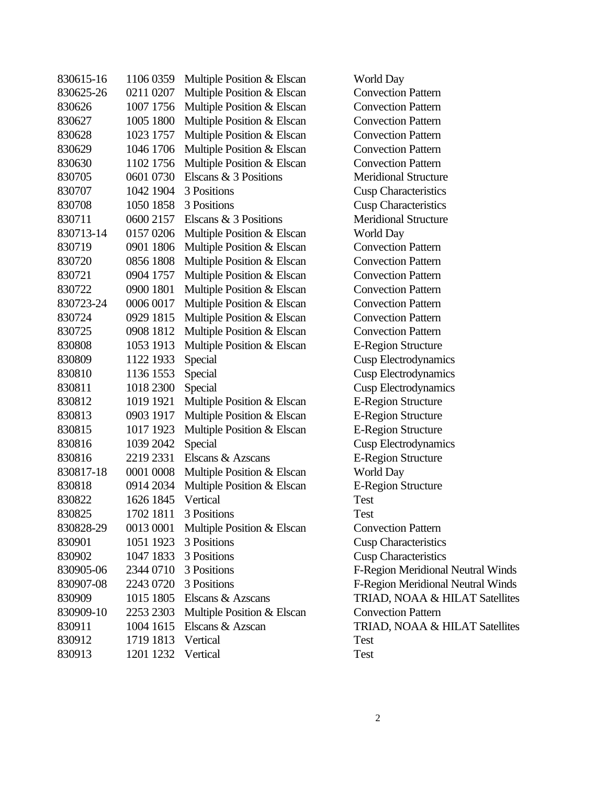| 830615-16 | 1106 0359 | Multiple Position & Elscan | Wor        |
|-----------|-----------|----------------------------|------------|
| 830625-26 | 0211 0207 | Multiple Position & Elscan | Con        |
| 830626    | 1007 1756 | Multiple Position & Elscan | Con        |
| 830627    | 1005 1800 | Multiple Position & Elscan | Con        |
| 830628    | 1023 1757 | Multiple Position & Elscan | Con        |
| 830629    | 1046 1706 | Multiple Position & Elscan | Con        |
| 830630    | 1102 1756 | Multiple Position & Elscan | Con        |
| 830705    | 0601 0730 | Elscans & 3 Positions      | Mer        |
| 830707    | 1042 1904 | 3 Positions                | Cust       |
| 830708    | 1050 1858 | 3 Positions                | Cusp       |
| 830711    | 0600 2157 | Elscans & 3 Positions      | <b>Mer</b> |
| 830713-14 | 0157 0206 | Multiple Position & Elscan | Wor        |
| 830719    | 0901 1806 | Multiple Position & Elscan | Con        |
| 830720    | 0856 1808 | Multiple Position & Elscan | Con        |
| 830721    | 0904 1757 | Multiple Position & Elscan | Con        |
| 830722    | 0900 1801 | Multiple Position & Elscan | Con        |
| 830723-24 | 0006 0017 | Multiple Position & Elscan | Con        |
| 830724    | 0929 1815 | Multiple Position & Elscan | Con        |
| 830725    | 0908 1812 | Multiple Position & Elscan | Con        |
| 830808    | 1053 1913 | Multiple Position & Elscan | $E-R$      |
| 830809    | 1122 1933 | Special                    | Cusp       |
| 830810    | 1136 1553 | Special                    | Cust       |
| 830811    | 1018 2300 | Special                    | Cus        |
| 830812    | 1019 1921 | Multiple Position & Elscan | $E-R$      |
| 830813    | 0903 1917 | Multiple Position & Elscan | $E-R$      |
| 830815    | 1017 1923 | Multiple Position & Elscan | $E-R$      |
| 830816    | 1039 2042 | Special                    | Cust       |
| 830816    | 2219 2331 | Elscans & Azscans          | E-R        |
| 830817-18 | 0001 0008 | Multiple Position & Elscan | Wor        |
| 830818    | 0914 2034 | Multiple Position & Elscan | $E-R$      |
| 830822    | 1626 1845 | Vertical                   | Test       |
| 830825    | 1702 1811 | 3 Positions                | Test       |
| 830828-29 | 0013 0001 | Multiple Position & Elscan | Con        |
| 830901    | 1051 1923 | 3 Positions                | Cusp       |
| 830902    | 1047 1833 | 3 Positions                | Cus        |
| 830905-06 | 2344 0710 | 3 Positions                | $F-R$      |
| 830907-08 | 2243 0720 | 3 Positions                | $F-R$      |
| 830909    | 1015 1805 | Elscans & Azscans          | <b>TRL</b> |
| 830909-10 | 2253 2303 | Multiple Position & Elscan | Con        |
| 830911    | 1004 1615 | Elscans & Azscan           | TRL        |
| 830912    | 1719 1813 | Vertical                   | Test       |
| 830913    | 1201 1232 | Vertical                   | Test       |
|           |           |                            |            |

World Day **Convection Pattern Convection Pattern Convection Pattern Convection Pattern Convection Pattern Convection Pattern Meridional Structure Cusp Characteristics Cusp Characteristics Meridional Structure** World Day **Convection Pattern Convection Pattern Convection Pattern Convection Pattern Convection Pattern Convection Pattern Convection Pattern** E-Region Structure Cusp Electrodynamics Cusp Electrodynamics Cusp Electrodynamics E-Region Structure E-Region Structure E-Region Structure Cusp Electrodynamics E-Region Structure World Day E-Region Structure **Convection Pattern Cusp Characteristics Cusp Characteristics** F-Region Meridional Neutral Winds F-Region Meridional Neutral Winds TRIAD, NOAA & HILAT Satellites **Convection Pattern** TRIAD, NOAA & HILAT Satellites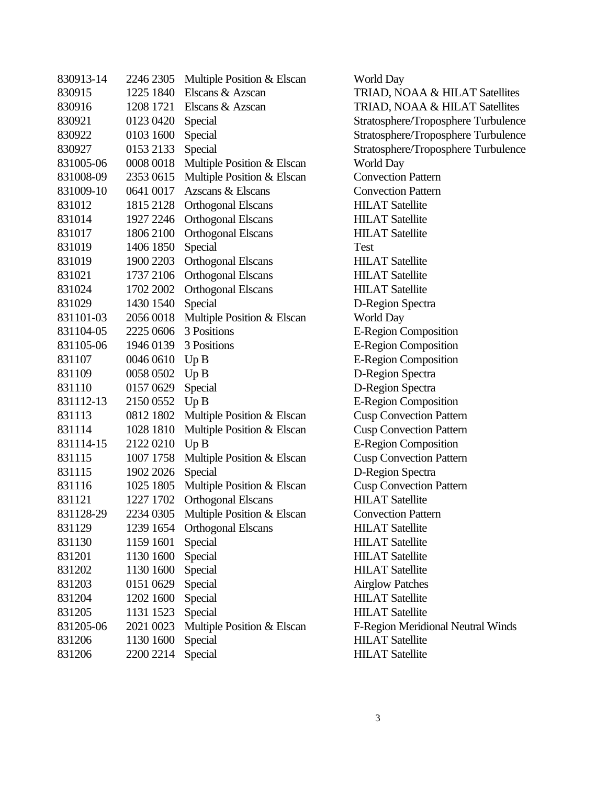| 830913-14 | 2246 2305 | Multiple Position & Elscan | Wor              |
|-----------|-----------|----------------------------|------------------|
| 830915    | 1225 1840 | Elscans & Azscan           | <b>TRL</b>       |
| 830916    | 1208 1721 | Elscans & Azscan           | <b>TRL</b>       |
| 830921    | 0123 0420 | Special                    | Strat            |
| 830922    | 0103 1600 | Special                    | Strat            |
| 830927    | 0153 2133 | Special                    | Strat            |
| 831005-06 | 0008 0018 | Multiple Position & Elscan | Wor              |
| 831008-09 | 2353 0615 | Multiple Position & Elscan | Con              |
| 831009-10 | 0641 0017 | Azscans & Elscans          | Con              |
| 831012    | 1815 2128 | <b>Orthogonal Elscans</b>  | HIL.             |
| 831014    | 1927 2246 | <b>Orthogonal Elscans</b>  | HIL.             |
| 831017    | 1806 2100 | <b>Orthogonal Elscans</b>  | HIL.             |
| 831019    | 1406 1850 | Special                    | Test             |
| 831019    | 1900 2203 | <b>Orthogonal Elscans</b>  | HIL.             |
| 831021    | 1737 2106 | <b>Orthogonal Elscans</b>  | HIL.             |
| 831024    | 1702 2002 | <b>Orthogonal Elscans</b>  | HIL.             |
| 831029    | 1430 1540 | Special                    | $D-R$            |
| 831101-03 | 2056 0018 | Multiple Position & Elscan | Wor              |
| 831104-05 | 2225 0606 | 3 Positions                | $E-R$            |
| 831105-06 | 1946 0139 | 3 Positions                | $E-R$            |
| 831107    | 0046 0610 | Up B                       | $E-R$            |
| 831109    | 0058 0502 | Up B                       | $D-R$            |
| 831110    | 0157 0629 | Special                    | $D-R$            |
| 831112-13 | 2150 0552 | Up B                       | $E-R$            |
| 831113    | 0812 1802 | Multiple Position & Elscan | Cus <sub>l</sub> |
| 831114    | 1028 1810 | Multiple Position & Elscan | Cust             |
| 831114-15 | 2122 0210 | Up B                       | $E-R$            |
| 831115    | 1007 1758 | Multiple Position & Elscan | Cus <sub>l</sub> |
| 831115    | 1902 2026 | Special                    | $D-R$            |
| 831116    | 1025 1805 | Multiple Position & Elscan | Cust             |
| 831121    | 1227 1702 | <b>Orthogonal Elscans</b>  | HIL.             |
| 831128-29 | 2234 0305 | Multiple Position & Elscan | Con              |
| 831129    | 1239 1654 | <b>Orthogonal Elscans</b>  | HIL              |
| 831130    | 1159 1601 | Special                    | HIL.             |
| 831201    | 1130 1600 | Special                    | HIL.             |
| 831202    | 1130 1600 | Special                    | HIL.             |
| 831203    | 0151 0629 | Special                    | Airg             |
| 831204    | 1202 1600 | Special                    | HIL.             |
| 831205    | 1131 1523 | Special                    | HIL.             |
| 831205-06 | 2021 0023 | Multiple Position & Elscan | $F-R$            |
| 831206    | 1130 1600 | Special                    | HIL.             |
| 831206    | 2200 2214 | Special                    | HIL.             |
|           |           |                            |                  |

World Day TRIAD, NOAA & HILAT Satellites TRIAD, NOAA & HILAT Satellites Stratosphere/Troposphere Turbulence Stratosphere/Troposphere Turbulence Stratosphere/Troposphere Turbulence World Day **Convection Pattern Convection Pattern HILAT Satellite HILAT Satellite HILAT Satellite HILAT Satellite HILAT Satellite HILAT Satellite** D-Region Spectra World Day E-Region Composition E-Region Composition **E-Region Composition** D-Region Spectra D-Region Spectra **E-Region Composition Cusp Convection Pattern Cusp Convection Pattern E-Region Composition Cusp Convection Pattern** D-Region Spectra **Cusp Convection Pattern HILAT Satellite Convection Pattern HILAT Satellite HILAT Satellite HILAT Satellite HILAT Satellite** Airglow Patches **HILAT Satellite HILAT Satellite** F-Region Meridional Neutral Winds **HILAT Satellite HILAT Satellite**